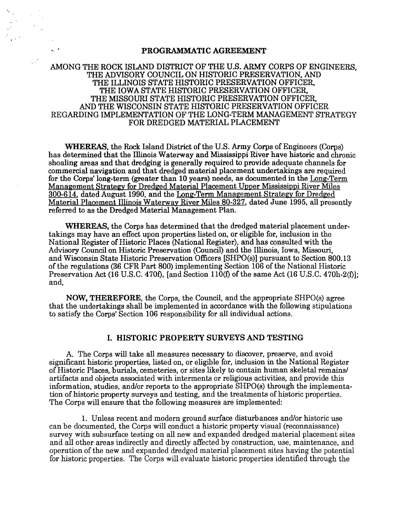#### **PROGRAMMATIC AGREEMENT**

 $\sim$ 

 $\hat{\mathbf{p}}^{\mathcal{A}}$ 

## AMONG THE ROCK ISLAND DISTRICT OF THE U.S. ARMY CORPS OF ENGINEERS, THE ADVISORY COUNCIL ON HISTORIC PRESERVATION, AND THE ILLINOIS STATE HISTORIC PRESERVATION OFFICER, THE IOWA STATE HISTORIC PRESERVATION OFFICER, THE MISSOURI STATE HISTORIC PRESERVATION OFFICER, AND THE WISCONSIN STATE HISTORIC PRESERVATION OFFICER REGARDING IMPLEMENTATION OF THE LONG-TERM MANAGEMENT STRATEGY FOR DREDGED MATERIAL PLACEMENT

**WHEREAS,** the Rock Island District of the U.S. Army Corps of Engineers (Corps) has determined that the Illinois Waterway and Mississippi River have historic and chronic shoaling areas and that dredging is generally required to provide adequate channels for commercial navigation and that dredged material placement undertakings are required for the Corps' long-term (greater than 10 years) needs, as documented in the Long-Term Management Strategy for Dredged Material Placement Upper Mississippi River Miles 300-614, dated August 1990, and the Long-Term Management Strategy for Dredged Material Placement Illinois Waterway River Miles 80-327, dated June 1995, all presently referred to as the Dredged Material Management Plan.

**WHEREAS,** the Corps has determined that the dredged material placement undertakings may have an effect upon properties listed on, or eligible for, inclusion in the National Register of Historic Places (National Register). and has consulted with the Advisory Council on Historic Preservation (Council) and the Illinois, Iowa, Missouri, and Wisconsin State Historic Preservation Officers [SHPO(s)] pursuant to Section 800.13 of the regulations (36 CFR Part 800) implementing Section 106 of the National Historic Preservation Act (16 U.S.C. 470f), [and Section 110(f) of the same Act (16 U.S.C. 470h-2(f)]; and,

**NOW, THEREFORE,** the Corps, the Council, and the appropriate SHPO(s) agree that the undertakings shall be implemented in accordance with the following stipulations to satisfy the Corps' Section 106 responsibility for all individual actions.

# I. **HISTORIC PROPERTY SURVEYS AND TESTING**

A The Corps will take all measures necessary to discover, preserve, and avoid significant historic properties, listed on, or eligible for, inclusion in the National Register of Historic Places, burials, cemeteries, or sites likely to contain human skeletal remains/ artifacts and objects associated with interments or religious activities, and provide this information, studies, and/or reports to the appropriate SHPO(s) through the implementation of historic property surveys and testing, and the treatments of historic properties. The Corps will ensure that the following measures are implemented:

1. Unless recent and modern ground surface disturbances and/or historic use can be documented, the Corps **will** conduct a historic property visual (reconnaissance) survey with subsurface testing on all new and expanded dredged material placement sites and all other areas indirectly and directly affected by construction, use, maintenance, and operation of the new and expanded dredged material placement sites having the potential for historic properties. The Corps will evaluate historic properties identified through the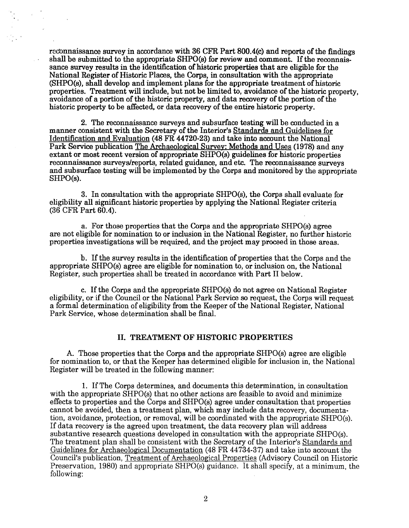reconnaissance survey in accordance with 36 CFR Part 800.4(c) and reports of the findings shall be submitted to the appropriate SHPO(s) for review and comment. If the reconnaissance survey results in the identification of historic properties that are eligible for the National Register of Historic Places, the Corps, in consultation with the appropriate (SHPO(s), shall develop and implement plans for the appropriate treatment of historic properties. Treatment will include, but not be limited to, avoidance of the historic property, avoidance of a portion of the historic property, and data recovery of the portion of the historic property to be affected, or data recovery of the entire historic property.

2. The reconnaissance surveys and subsurface testing will be conducted in a manner consistent with the Secretary of the Interior's Standards and Guidelines for Identification and Evaluation (48 FR 44720-23) and take into account the National Park Service publication The Archaeological Survey: Methods and Uses (1978) and any extant or most recent version of appropriate SHPO(s) guidelines for historic properties reconnaissance surveys/reports, related guidance, and etc. The reconnaissance surveys and subsurface testing will be implemented by the Corps and monitored by the appropriate SHPO(s).

3. In consultation with the appropriate SHPO(s), the Corps shall evaluate for eligibility all significant historic properties by applying the National Register criteria (36 CFR Part 60.4).

a. For those properties that the Corps and the appropriate SHPO(s) agree are not eligible for nomination to or inclusion in the National Register, no further historic properties investigations will be required, and the project may proceed in those areas.

b. If the survey results in the identification of properties that the Corps and the appropriate SHPO(s) agree are eligible for nomination to, or inclusion on, the National Register, such properties shall be treated in accordance with Part II below.

c. If the Corps and the appropriate SHPO(s) do not agree on National Register eligibility, or if the Council or the National Park Service so request, the Corps will request a formal determination of eligibility from the Keeper of the National Register, National Park Service, whose determination shall be final.

# II. **TREATMENT OF HISTORIC PROPERTIES**

A. Those properties that the Corps and the appropriate SHPO(s) agree are eligible for nomination to, or that the Keeper has determined eligible for inclusion in, the National Register will be treated in the following manner:

1. If The Corps determines, and documents this determination, in consultation with the appropriate SHPO(s) that no other actions are feasible to avoid and minimize effects to properties and the Corps and SHPO(s) agree under consultation that properties cannot be avoided, then a treatment plan, which may include data recovery, documentation, avoidance, protection, or removal, will be coordinated with the appropriate SHPO(s). If data recovery is the agreed upon treatment, the data recovery plan will address substantive research questions developed in consultation with the appropriate SHPO(s). The treatment plan shall be consistent with the Secretary of the Interior's Standards and Guidelines for Archaeological Documentation (48 FR 44 734-37) and take into account the Council's publication, Treatment of Archaeological Properties (Advisory Council on Historic Preservation, 1980) and appropriate SHPO(s) guidance. It shall specify, at a minimum, the following: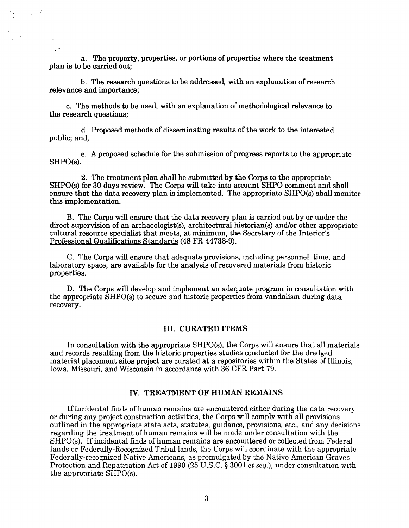a. The property, properties, or portions of properties where the treatment plan is to be carried out;

b. The research questions to be addressed, with an explanation of research relevance and importance;

c. The methods to be used, with an explanation of methodological relevance to the research questions;

d. Proposed methods of disseminating results of the work to the interested public; and,

e. A proposed schedule for the submission of progress reports to the appropriate SHPO(s).

2. The treatment plan shall be submitted by the Corps to the appropriate SHPO(s) for 30 days review. The Corps will take into account SHPO comment and shall ensure that the data recovery plan is implemented. The appropriate SHPO(s) shall monitor this implementation.

B. The Corps will ensure that the data recovery plan is carried out by or under the direct supervision of an archaeologist(s), architectural historian(s) and/or other appropriate cultural resource specialist that meets, at minimum, the Secretary of the Interior's Professional Qualifications Standards (48 FR 44738-9).

C. The Corps will ensure that adequate provisions, including personnel, time, and laboratory space, are available for the analysis of recovered materials from historic properties.

D. The Corps will develop and implement an adequate program in consultation with the appropriate SHPO(s) to secure and historic properties from vandalism during data recovery.

## III. **CURATED ITEMS**

In consultation with the appropriate SHPO(s), the Corps will ensure that all materials and records resulting from the historic properties studies conducted for the dredged material placement sites project are curated at a repositories within the States of Illinois, Iowa, Missouri, and Wisconsin in accordance with 36 CFR Part 79.

## IV. **TREATMENT OF HUMAN REMAINS**

If incidental finds of human remains are encountered either during the data recovery or during any project construction activities, the Corps will comply with all provisions outlined in the appropriate state acts, statutes, guidance, provisions, etc., and any decisions regarding the treatment of human remains will be made under consultation with the SHPO(s). If incidental finds of human remains are encountered or collected from Federal lands or Federally-Recognized Tribal lands, the Corps will coordinate with the appropriate Federally-recognized Native Americans, as promulgated by the Native American Graves Protection and Repatriation Act of 1990 (25 U.S.C. § 3001 *et seq.*), under consultation with the appropriate SHPO(s).

 $\overline{a}$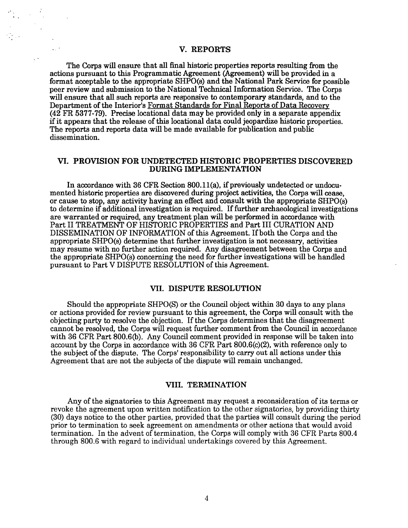## **V. REPORTS**

The Corps will ensure that all final historic properties reports resulting from the actions pursuant to this Programmatic Agreement (Agreement) will be provided in a format acceptable to the appropriate SHPO(s) and the National Park Service for possible peer review and submission to the National Technical Information Service. The Corps will ensure that all such reports are responsive to contemporary standards, and to the Department of the Interior's Format Standards for Final Reports of Data Recovery (42 FR 5377-79). Precise locational data may be provided only in a separate appendix if it appears that the release of this locational data could jeopardize historic properties. The reports and reports data will be made available for publication and public dissemination.

## **VI. PROVISION FOR UNDETECTED HISTORIC PROPERTIES DISCOVERED DURING IMPLEMENTATION**

In accordance with 36 CFR Section 800.ll(a), if previously undetected or undocumented historic properties are discovered during project activities, the Corps will cease, or cause to stop, any activity having an effect and consult with the appropriate SHPO(s) to determine if additional investigation is required. If further archaeological investigations are warranted or required, any treatment plan will be performed in accordance with Part II TREATMENT OF HISTORIC PROPERTIES and Part III CURATION AND DISSEMINATION OF INFORMATION of this Agreement. If both the Corps and the appropriate SHPO(s) determine that further investigation is not necessary, activities may resume with no further action required. Any disagreement between the Corps and the appropriate SHPO(s) concerning the need for further investigations will be handled pursuant to Part V DISPUTE RESOLUTION of this Agreement.

## **VII. DISPUTE RESOLUTION**

Should the appropriate SHPO(S) or the Council object within 30 days to any plans or actions provided for review pursuant to this agreement, the Corps will consult with the objecting party to resolve the objection. If the Corps determines that the disagreement cannot be resolved, the Corps will request further comment from the Council in accordance with 36 CFR Part 800.6(b). Any Council comment provided in response will be taken into account by the Corps in accordance with 36 CFR Part 800.6(c)(2), with reference only to the subject of the dispute. The Corps' responsibility to carry out all actions under this Agreement that are not the subjects of the dispute will remain unchanged.

## **VIII. TERMINATION**

Any of the signatories to this Agreement may request a reconsideration of its terms or revoke the agreement upon written notification to the other signatories, by providing thirty (30) days notice to the other parties, provided that the parties will consult during the period prior to termination to seek agreement on amendments or other actions that would avoid termination. In the advent of termination, the Corps will comply with 36 CFR Parts 800.4 through 800.6 with regard to individual undertakings covered by this Agreement.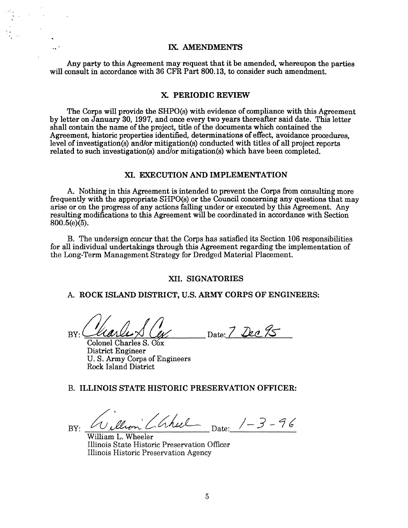#### IX. **AMENDMENTS**

Any party to this Agreement may request that it be amended, whereupon the parties will consult in accordance with 36 CFR Part 800.13, to consider such amendment.

## **X. PERIODIC REVIEW**

The Corps will provide the SHPO(s) with evidence of compliance with this Agreement by letter on January 30, 1997, and once every two years thereafter said date. This letter shall contain the name of the project, title of the documents which contained the Agreement, historic properties identified, determinations of effect, avoidance procedures, level of investigation(s) and/or mitigation(s) conducted with titles of all project reports related to such investigation(s) and/or mitigation(s) which have been completed.

### **XI. EXECUTION AND IMPLEMENTATION**

A. Nothing in this Agreement is intended to prevent the Corps from consulting more frequently with the appropriate SHPO(s) or the Council concerning any questions that may arise or on the progress of any actions falling under or executed by this Agreement. Any resulting modifications to this Agreement will be coordinated in accordance with Section 800.5(e)(5).

B. The undersign concur that the Corps has satisfied its Section 106 responsibilities for all individual undertakings through this Agreement regarding the implementation of the Long-Term Management Strategy for Dredged Material Placement.

## **XII. SIGNATORIES**

## A. **ROCK ISLAND DISTRICT, U.S. ARMY CORPS OF ENGINEERS:**

 $BY:$   $\frac{\mathcal{U}}{\mathcal{U}} = \frac{\mathcal{U}}{\mathcal{U}} = \frac{\mathcal{U}}{\mathcal{U}} = \frac{\mathcal{U}}{\mathcal{U}} = \frac{\mathcal{U}}{\mathcal{U}} = \frac{\mathcal{U}}{\mathcal{U}} = \frac{\mathcal{U}}{\mathcal{U}} = \frac{\mathcal{U}}{\mathcal{U}} = \frac{\mathcal{U}}{\mathcal{U}} = \frac{\mathcal{U}}{\mathcal{U}} = \frac{\mathcal{U}}{\mathcal{U}} = \frac{\mathcal{U}}{\mathcal{U}} = \frac{\mathcal{U}}{\mathcal{U}} = \frac{\mathcal{U}}{\mathcal{U}} = \frac{\math$ 

District Engineer U.S. Army Corps of Engineers Rock Island District

## B. ILLINOIS STATE HISTORIC PRESERVATION OFFICER:

BY: William Chheel Date: 1-3-96

William L. Wheeler Illinois State Historic Preservation Officer Illinois Historic Preservation Agency